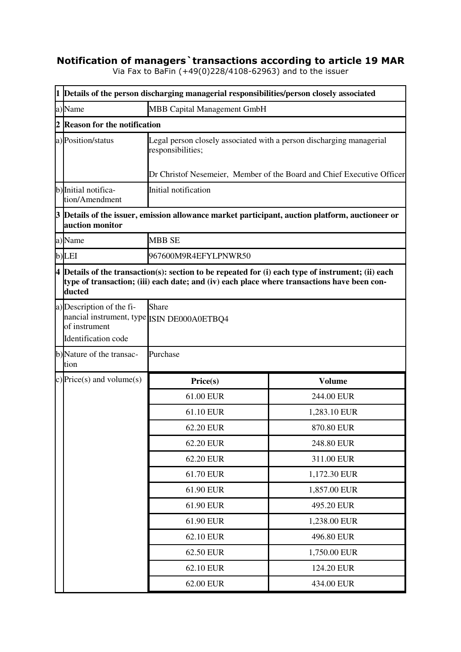## **Notification of managers`transactions according to article 19 MAR**

Via Fax to BaFin (+49(0)228/4108-62963) and to the issuer

|                                                                   | 1 Details of the person discharging managerial responsibilities/person closely associated   |                                                                                                                  |
|-------------------------------------------------------------------|---------------------------------------------------------------------------------------------|------------------------------------------------------------------------------------------------------------------|
| a)Name                                                            | <b>MBB Capital Management GmbH</b>                                                          |                                                                                                                  |
| $\overline{2}$<br><b>Reason for the notification</b>              |                                                                                             |                                                                                                                  |
| a) Position/status                                                | Legal person closely associated with a person discharging managerial<br>responsibilities;   |                                                                                                                  |
|                                                                   |                                                                                             | Dr Christof Nesemeier, Member of the Board and Chief Executive Officer                                           |
| b) Initial notifica-<br>tion/Amendment                            | Initial notification                                                                        |                                                                                                                  |
| auction monitor                                                   |                                                                                             | $\beta$ $\mathbb D$ etails of the issuer, emission allowance market participant, auction platform, auctioneer or |
| a)Name                                                            | <b>MBB SE</b>                                                                               |                                                                                                                  |
| $b)$ LEI                                                          | 967600M9R4EFYLPNWR50                                                                        |                                                                                                                  |
| ducted                                                            | type of transaction; (iii) each date; and (iv) each place where transactions have been con- | $4$ Details of the transaction(s): section to be repeated for (i) each type of instrument; (ii) each             |
| a) Description of the fi-<br>of instrument<br>Identification code | Share<br>nancial instrument, type ISIN DE000A0ETBQ4                                         |                                                                                                                  |
| b)Nature of the transac-<br>tion                                  | Purchase                                                                                    |                                                                                                                  |
| c) Price(s) and volume(s)                                         | Price(s)                                                                                    | <b>Volume</b>                                                                                                    |
|                                                                   | 61.00 EUR                                                                                   | 244.00 EUR                                                                                                       |
|                                                                   | 61.10 EUR                                                                                   | 1,283.10 EUR                                                                                                     |
|                                                                   | 62.20 EUR                                                                                   | 870.80 EUR                                                                                                       |
|                                                                   | 62.20 EUR                                                                                   | 248.80 EUR                                                                                                       |
|                                                                   | 62.20 EUR                                                                                   | 311.00 EUR                                                                                                       |
|                                                                   | 61.70 EUR                                                                                   | 1,172.30 EUR                                                                                                     |
|                                                                   | 61.90 EUR                                                                                   | 1,857.00 EUR                                                                                                     |
|                                                                   | 61.90 EUR                                                                                   | 495.20 EUR                                                                                                       |
|                                                                   | 61.90 EUR                                                                                   | 1,238.00 EUR                                                                                                     |
|                                                                   | 62.10 EUR                                                                                   | 496.80 EUR                                                                                                       |
|                                                                   | 62.50 EUR                                                                                   | 1,750.00 EUR                                                                                                     |
|                                                                   | 62.10 EUR                                                                                   | 124.20 EUR                                                                                                       |
|                                                                   | 62.00 EUR                                                                                   | 434.00 EUR                                                                                                       |